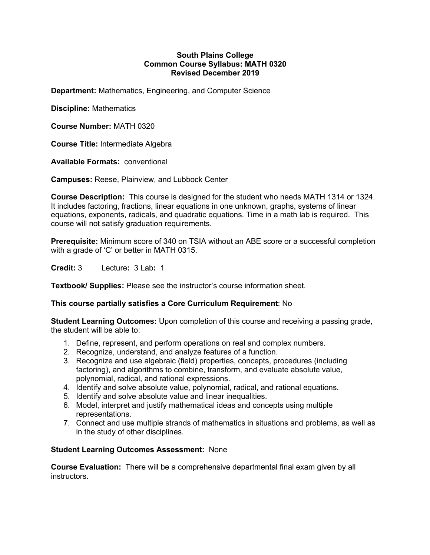#### **South Plains College Common Course Syllabus: MATH 0320 Revised December 2019**

**Department:** Mathematics, Engineering, and Computer Science

**Discipline:** Mathematics

**Course Number:** MATH 0320

**Course Title:** Intermediate Algebra

**Available Formats:** conventional

**Campuses:** Reese, Plainview, and Lubbock Center

**Course Description:** This course is designed for the student who needs MATH 1314 or 1324. It includes factoring, fractions, linear equations in one unknown, graphs, systems of linear equations, exponents, radicals, and quadratic equations. Time in a math lab is required. This course will not satisfy graduation requirements.

**Prerequisite:** Minimum score of 340 on TSIA without an ABE score or a successful completion with a grade of 'C' or better in MATH 0315.

**Credit:** 3 Lecture**:** 3 Lab**:** 1

**Textbook/ Supplies:** Please see the instructor's course information sheet.

# **This course partially satisfies a Core Curriculum Requirement**: No

**Student Learning Outcomes:** Upon completion of this course and receiving a passing grade, the student will be able to:

- 1. Define, represent, and perform operations on real and complex numbers.
- 2. Recognize, understand, and analyze features of a function.
- 3. Recognize and use algebraic (field) properties, concepts, procedures (including factoring), and algorithms to combine, transform, and evaluate absolute value, polynomial, radical, and rational expressions.
- 4. Identify and solve absolute value, polynomial, radical, and rational equations.
- 5. Identify and solve absolute value and linear inequalities.
- 6. Model, interpret and justify mathematical ideas and concepts using multiple representations.
- 7. Connect and use multiple strands of mathematics in situations and problems, as well as in the study of other disciplines.

# **Student Learning Outcomes Assessment:** None

**Course Evaluation:** There will be a comprehensive departmental final exam given by all instructors.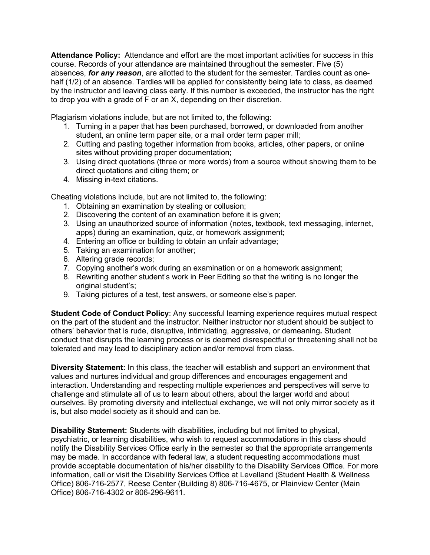**Attendance Policy:** Attendance and effort are the most important activities for success in this course. Records of your attendance are maintained throughout the semester. Five (5) absences, *for any reason*, are allotted to the student for the semester. Tardies count as onehalf (1/2) of an absence. Tardies will be applied for consistently being late to class, as deemed by the instructor and leaving class early. If this number is exceeded, the instructor has the right to drop you with a grade of F or an X, depending on their discretion.

Plagiarism violations include, but are not limited to, the following:

- 1. Turning in a paper that has been purchased, borrowed, or downloaded from another student, an online term paper site, or a mail order term paper mill;
- 2. Cutting and pasting together information from books, articles, other papers, or online sites without providing proper documentation;
- 3. Using direct quotations (three or more words) from a source without showing them to be direct quotations and citing them; or
- 4. Missing in-text citations.

Cheating violations include, but are not limited to, the following:

- 1. Obtaining an examination by stealing or collusion;
- 2. Discovering the content of an examination before it is given;
- 3. Using an unauthorized source of information (notes, textbook, text messaging, internet, apps) during an examination, quiz, or homework assignment;
- 4. Entering an office or building to obtain an unfair advantage;
- 5. Taking an examination for another;
- 6. Altering grade records;
- 7. Copying another's work during an examination or on a homework assignment;
- 8. Rewriting another student's work in Peer Editing so that the writing is no longer the original student's;
- 9. Taking pictures of a test, test answers, or someone else's paper.

**Student Code of Conduct Policy**: Any successful learning experience requires mutual respect on the part of the student and the instructor. Neither instructor nor student should be subject to others' behavior that is rude, disruptive, intimidating, aggressive, or demeaning**.** Student conduct that disrupts the learning process or is deemed disrespectful or threatening shall not be tolerated and may lead to disciplinary action and/or removal from class.

**Diversity Statement:** In this class, the teacher will establish and support an environment that values and nurtures individual and group differences and encourages engagement and interaction. Understanding and respecting multiple experiences and perspectives will serve to challenge and stimulate all of us to learn about others, about the larger world and about ourselves. By promoting diversity and intellectual exchange, we will not only mirror society as it is, but also model society as it should and can be.

**Disability Statement:** Students with disabilities, including but not limited to physical, psychiatric, or learning disabilities, who wish to request accommodations in this class should notify the Disability Services Office early in the semester so that the appropriate arrangements may be made. In accordance with federal law, a student requesting accommodations must provide acceptable documentation of his/her disability to the Disability Services Office. For more information, call or visit the Disability Services Office at Levelland (Student Health & Wellness Office) 806-716-2577, Reese Center (Building 8) 806-716-4675, or Plainview Center (Main Office) 806-716-4302 or 806-296-9611.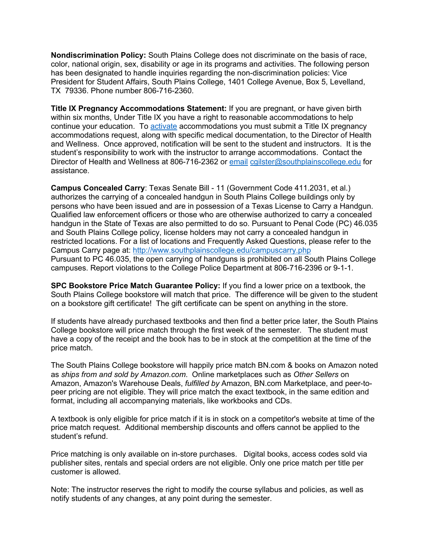**Nondiscrimination Policy:** South Plains College does not discriminate on the basis of race, color, national origin, sex, disability or age in its programs and activities. The following person has been designated to handle inquiries regarding the non-discrimination policies: Vice President for Student Affairs, South Plains College, 1401 College Avenue, Box 5, Levelland, TX 79336. Phone number 806-716-2360.

**Title IX Pregnancy Accommodations Statement:** If you are pregnant, or have given birth within six months, Under Title IX you have a right to reasonable accommodations to help continue your education. To **activate** accommodations you must submit a Title IX pregnancy accommodations request, along with specific medical documentation, to the Director of Health and Wellness. Once approved, notification will be sent to the student and instructors. It is the student's responsibility to work with the instructor to arrange accommodations. Contact the Director of Health and Wellness at 806-716-2362 or email cgilster@southplainscollege.edu for assistance.

**Campus Concealed Carry**: Texas Senate Bill - 11 (Government Code 411.2031, et al.) authorizes the carrying of a concealed handgun in South Plains College buildings only by persons who have been issued and are in possession of a Texas License to Carry a Handgun. Qualified law enforcement officers or those who are otherwise authorized to carry a concealed handgun in the State of Texas are also permitted to do so. Pursuant to Penal Code (PC) 46.035 and South Plains College policy, license holders may not carry a concealed handgun in restricted locations. For a list of locations and Frequently Asked Questions, please refer to the Campus Carry page at: http://www.southplainscollege.edu/campuscarry.php Pursuant to PC 46.035, the open carrying of handguns is prohibited on all South Plains College campuses. Report violations to the College Police Department at 806-716-2396 or 9-1-1.

**SPC Bookstore Price Match Guarantee Policy:** If you find a lower price on a textbook, the South Plains College bookstore will match that price. The difference will be given to the student on a bookstore gift certificate! The gift certificate can be spent on anything in the store.

If students have already purchased textbooks and then find a better price later, the South Plains College bookstore will price match through the first week of the semester. The student must have a copy of the receipt and the book has to be in stock at the competition at the time of the price match.

The South Plains College bookstore will happily price match BN.com & books on Amazon noted as *ships from and sold by Amazon.com*. Online marketplaces such as *Other Sellers* on Amazon, Amazon's Warehouse Deals, *fulfilled by* Amazon, BN.com Marketplace, and peer-topeer pricing are not eligible. They will price match the exact textbook, in the same edition and format, including all accompanying materials, like workbooks and CDs.

A textbook is only eligible for price match if it is in stock on a competitor's website at time of the price match request. Additional membership discounts and offers cannot be applied to the student's refund.

Price matching is only available on in-store purchases. Digital books, access codes sold via publisher sites, rentals and special orders are not eligible. Only one price match per title per customer is allowed.

Note: The instructor reserves the right to modify the course syllabus and policies, as well as notify students of any changes, at any point during the semester.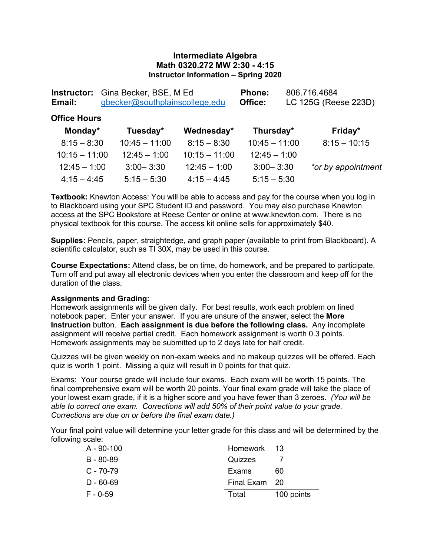### **Intermediate Algebra Math 0320.272 MW 2:30 - 4:15 Instructor Information – Spring 2020**

| Gina Becker, BSE, M Ed<br>Instructor:<br>gbecker@southplainscollege.edu<br>Email: |                 |                 | Phone:<br>Office: | 806.716.4684<br>LC 125G (Reese 223D) |
|-----------------------------------------------------------------------------------|-----------------|-----------------|-------------------|--------------------------------------|
| <b>Office Hours</b>                                                               |                 |                 |                   |                                      |
| Monday*                                                                           | Tuesday*        | Wednesday*      | Thursday*         | Friday*                              |
| $8:15 - 8:30$                                                                     | $10:45 - 11:00$ | $8:15 - 8:30$   | $10:45 - 11:00$   | $8:15 - 10:15$                       |
| $10:15 - 11:00$                                                                   | $12:45 - 1:00$  | $10:15 - 11:00$ | $12:45 - 1:00$    |                                      |
| $12:45 - 1:00$                                                                    | $3:00 - 3:30$   | $12:45 - 1:00$  | $3:00 - 3:30$     | *or by appointment                   |
| $4:15 - 4:45$                                                                     | $5:15 - 5:30$   | $4:15 - 4:45$   | $5:15 - 5:30$     |                                      |

**Textbook:** Knewton Access: You will be able to access and pay for the course when you log in to Blackboard using your SPC Student ID and password. You may also purchase Knewton access at the SPC Bookstore at Reese Center or online at www.knewton.com. There is no physical textbook for this course. The access kit online sells for approximately \$40.

**Supplies:** Pencils, paper, straightedge, and graph paper (available to print from Blackboard). A scientific calculator, such as TI 30X, may be used in this course.

**Course Expectations:** Attend class, be on time, do homework, and be prepared to participate. Turn off and put away all electronic devices when you enter the classroom and keep off for the duration of the class.

#### **Assignments and Grading:**

Homework assignments will be given daily. For best results, work each problem on lined notebook paper. Enter your answer. If you are unsure of the answer, select the **More Instruction** button. **Each assignment is due before the following class.** Any incomplete assignment will receive partial credit. Each homework assignment is worth 0.3 points. Homework assignments may be submitted up to 2 days late for half credit.

Quizzes will be given weekly on non-exam weeks and no makeup quizzes will be offered. Each quiz is worth 1 point. Missing a quiz will result in 0 points for that quiz.

Exams: Your course grade will include four exams. Each exam will be worth 15 points. The final comprehensive exam will be worth 20 points. Your final exam grade will take the place of your lowest exam grade, if it is a higher score and you have fewer than 3 zeroes. *(You will be able to correct one exam. Corrections will add 50% of their point value to your grade. Corrections are due on or before the final exam date.)*

Your final point value will determine your letter grade for this class and will be determined by the following scale:

| A - 90-100    | Homework 13   |            |
|---------------|---------------|------------|
| $B - 80 - 89$ | Quizzes       |            |
| $C - 70 - 79$ | Exams         | 60         |
| $D - 60 - 69$ | Final Exam 20 |            |
| $F - 0-59$    | Total         | 100 points |